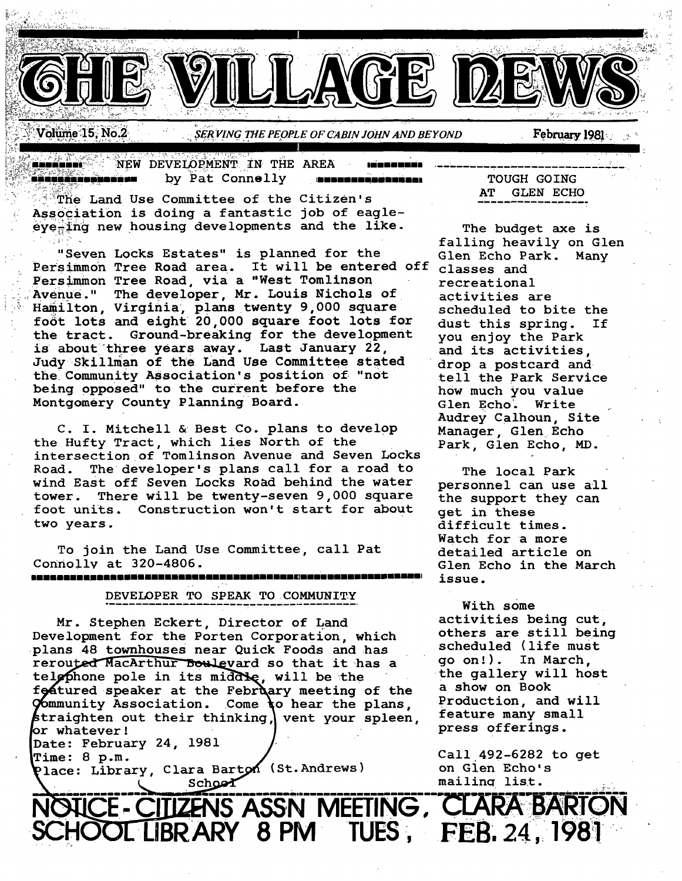

Volume 15, No.2

SERVING THE PEOPLE OF CABIN JOHN AND BEYOND

NEW DEVELOPMENT IN THE AREA ma d'a a artifici ta'u wa wa sin by Pat Connelly کی خرد خان خان دی با با که به به با ک 5855320000000001

The Land Use Committee of the Citizen's Association is doing a fantastic job of eagleeye-ing new housing developments and the like.

"Seven Locks Estates" is planned for the Persimmon Tree Road area. It will be entered off Persimmon Tree Road, via a "West Tomlinson Avenue." The developer, Mr. Louis Nichols of Hamilton, Virginia, plans twenty 9,000 square foot lots and eight 20,000 square foot lots for the tract. Ground-breaking for the development is about three years away. Last January 22, Judy Skillman of the Land Use Committee stated the Community Association's position of "not being opposed" to the current before the Montgomery County Planning Board.

C. I. Mitchell & Best Co. plans to develop the Hufty Tract, which lies North of the intersection of Tomlinson Avenue and Seven Locks Road. The developer's plans call for a road to wind East off Seven Locks Road behind the water tower. There will be twenty-seven 9,000 square foot units. Construction won't start for about two years.

To join the Land Use Committee, call Pat Connolly at 320-4806.

DEVELOPER TO SPEAK TO COMMUNITY

Mr. Stephen Eckert, Director of Land Development for the Porten Corporation, which plans 48 townhouses near Quick Foods and has rerouted MacArthur Boulevard so that it has a telephone pole in its middle, will be the foatured speaker at the February meeting of the Community Association. Come to hear the plans, straighten out their thinking, vent your spleen, or whatever! Date: February 24, 1981

**Time: 8 p.m.** 

Place: Library, Clara Barton (St. Andrews) School

**TOUGH GOING** AT GLEN ECHO

February 1981

The budget axe is falling heavily on Glen Glen Echo Park. Many classes and recreational activities are scheduled to bite the dust this spring. If you enjoy the Park and its activities. drop a postcard and tell the Park Service how much you value Glen Echo. Write Audrey Calhoun, Site Manager, Glen Echo Park, Glen Echo, MD.

The local Park personnel can use all the support they can get in these difficult times. Watch for a more detailed article on Glen Echo in the March issue.

With some activities being cut, others are still being scheduled (life must qo on!). In March. the gallery will host a show on Book Production, and will feature many small press offerings.

Call 492-6282 to get on Glen Echo's mailing list.

CE-CITIZENS ASSN MEETING, CLARA BARTON HOOL LIBRARY 8 PM TUES, FEB. 24, 1981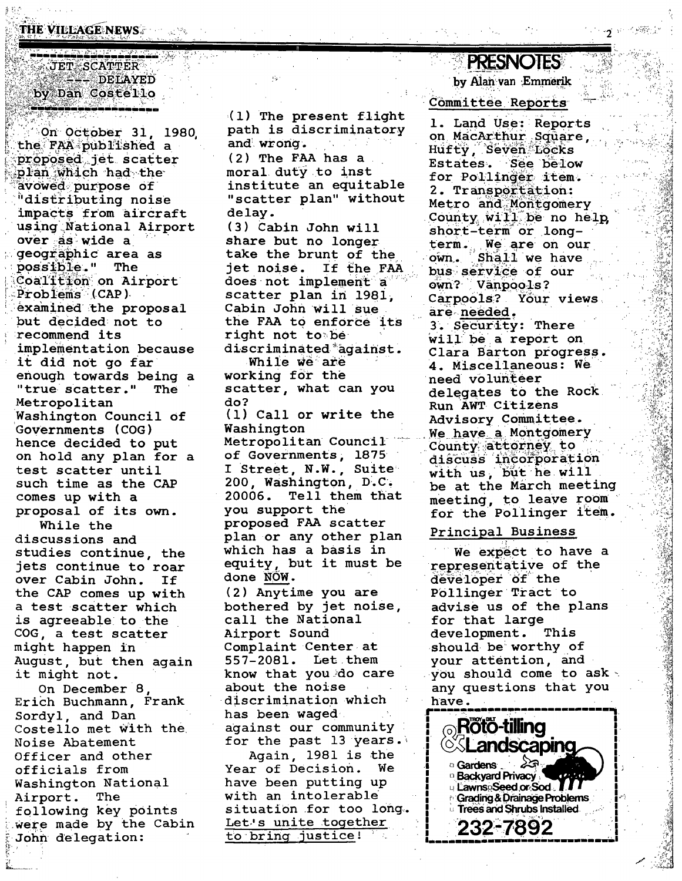THE VILLAGE NEWS AND REAL PROPE

### i na namana mang  $\sim$  JET  $\leq$  SCATTER  $\sim$ **ALLANDELAYED** by Dan Costello

On October 31, 1980 the FAA published a proposed jet scatter plan which had the avowed purpose of distributing noise impacts from aircraft using National Airport over as wide a geographic area as possible." The Coalition on Airport Problems (CAP) examined the proposal but decided not to recommend its implementation because it did not go far enough towards being a "true scatter." The Metropolitan Washington Council of Governments (COG) hence decided to put on hold any plan for a test scatter until such time as the CAP comes up with a proposal of its own. While the discussions and studies continue, the jets continue to roar over Cabin John. If the CAP comes up with a test scatter which is agreeable to the COG, a test scatter might happen in August, but then again it might not. On December 8,

Erich Buchmann, Frank Sordyl, and Dan Costello met with the Noise Abatement Officer and other officials from Washington National Airport. The following key points were made by the Cabin John delegation:

 $(1)$  The present flight path is discriminatory and wrong.  $(2)$  The FAA has a moral duty to inst institute an equitable "scatter plan" without delay. (3) Cabin John will

share but no longer take the brunt of the jet noise. If the FAA does not implement a scatter plan in 1981, Cabin John will sue the FAA to enforce its right not to be discriminated against. While we are

working for the scatter, what can you do?

(1) Call or write the Washington Metropolitan Council **of Governments, 1875** I Street, N.W., Suite 200, Washington, D.C. 20006. Tell them that you support the proposed FAA scatter plan or any other plan which has a basis in equity, but it must be

done NOW. (2) Anytime you are bothered by jet noise, call the National Airport Sound Complaint Center at 557-2081. Let them know that you do care about the noise  $\sim 10^{-10}$ discrimination which has been waged . against our community for the past 13 years. Again, 1981 is the Year of Decision. We have been putting up with an intolerable situation for too long. Let's unite together to bring justice!

# **PRESNOTES** by Alan van Emmerik

· 10 10 15 15 17

Committee Reports

1. Land Use: Reports on MacArthur Square. Hufty, Seven Löcks Estates. See below for Pollinger item. 2. Transportation: Metro and Montgomery County will be no help short-term or longterm. We are on our Shall we have  $o$ wn $\Box$ bus service of our own? Vanpools? Carpools? Your views are needed. 3. Security: There will be a report on Clara Barton progress. 4. Miscellaneous: We need volunteer delegates to the Rock Run AWT Citizens Advisory Committee. We have a Montgomery County attorney to discuss incorporation with us, but he will be at the March meeting meeting, to leave room for the Pollinger item.

#### Principal Business

We expect to have a representative of the developer of the Pollinger Tract to advise us of the plans for that large This development. should be worthy of your attention, and you should come to ask any questions that you have.

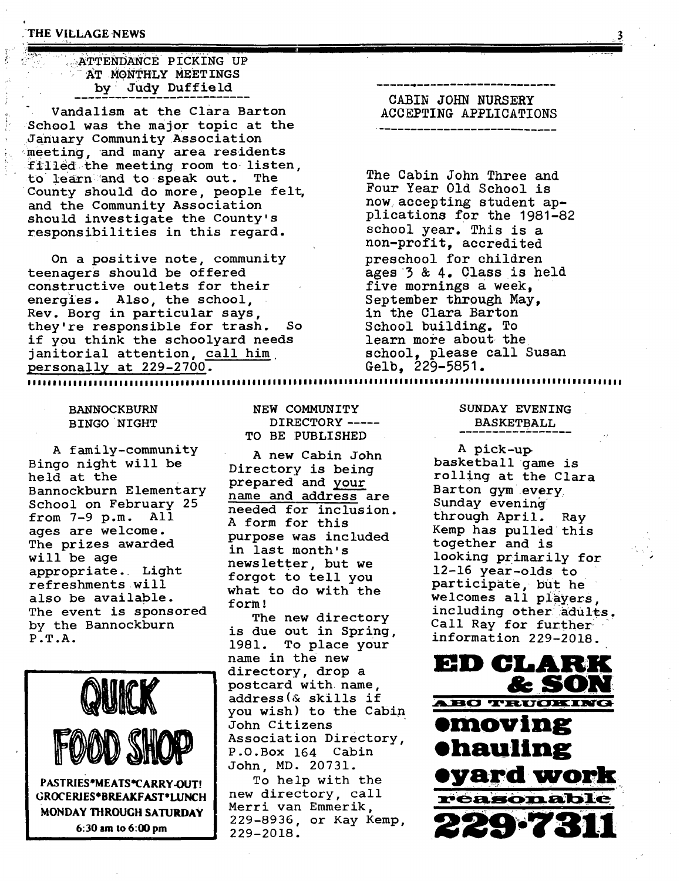### $\rightarrow$ ATTENDANCE PICKING UP AT MONTHLY MEETINGS by Judy Duffield

Vandalism at the Clara Barton School was the major topic at the <January Community Association meeting, and many area residents filled the meeting room to listen, to learn and to speak out. The County should do more, people felt, and the Community Association should investigate the County's responsibilities in this regard.

On a positive note, community teenagers should be offered constructive outlets for their energies. Also, the school, Rev. Borg in particular says, they're responsible for trash. So if you think the schoolyard needs janitorial attention, call him. personally at 229-2700.

||•l|l||||ll•|l|••|||||||•||||||l•l•|||••|l||ll||ll|||ll•|l•ll••l•l•ll••ll•••l•l|••|||•l•||||l|||lll•••••ll•••|•|l|•!

## **CABIN JOHN NURSERY ACCEPTING APPLICATIONS**

, .... T

The Cabin John Three and Four Year Old School is now accepting student applications for the 1981-82 school year. This is a non-profit, accredited preschool for children ages 3 & 4. Class is held five mornings a week, September through May, in the Clara Barton School building. To learn more about the school, please call Susan

Gelb, 229-5851.

BANNOCKBURN BINGO NIGHT

A family-community Bingo night will be held at the Bannockburn Elementary School on February 25 from 7-9 p.m. All ages are welcome. The prizes awarded will be age appropriate. Light refreshments will also be available. The event is sponsored by the Bannockburn P .T .A.



6:30 am to 6:00 pm

**NEW** COMMUNITY DIRECTORY -----TO BE PUBLISHED

A new Cabin John Directory is being prepared and your name and address are needed for inclusion. A form for this purpose was included in last month' s news letter, but we forgot to tell you what to do with the form .'

The new directory is due out in Spring, 1981. To place your directory, drop a postcard with name, yOU wish) to the Cabin John Citizens **emoving** Association Directory, Association Directory, Ohauling John, MD. 20731.

Merri van Emmerik, 229-8936, or Kay Kemp, 229-2018.

### SUNDAY EVENING BASKETBALL

A pick-up basketball game is rolling at the Clara Barton gym every Sunday evening through April. Ray Kemp has pulled this together and is looking primarily for 12-16 year-olds to participate, but he welcomes all players, including other adults. Call Ray for further information 229-2018.